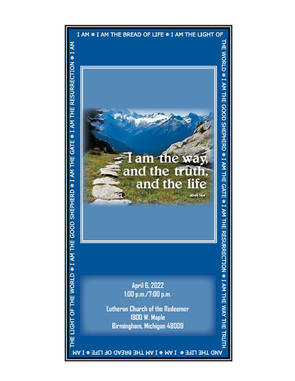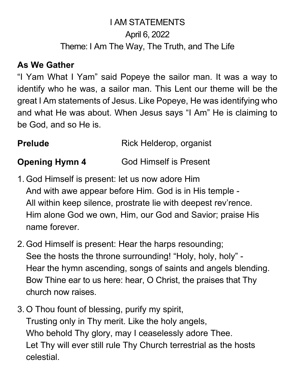# I AM STATEMENTS April 6, 2022 Theme: I Am The Way, The Truth, and The Life

### **As We Gather**

"I Yam What I Yam" said Popeye the sailor man. It was a way to identify who he was, a sailor man. This Lent our theme will be the great I Am statements of Jesus. Like Popeye, He was identifying who and what He was about. When Jesus says "I Am" He is claiming to be God, and so He is.

| <b>Prelude</b> | Rick Helderop, organist |
|----------------|-------------------------|
|                |                         |

**Opening Hymn 4** God Himself is Present

- 1. God Himself is present: let us now adore Him And with awe appear before Him. God is in His temple - All within keep silence, prostrate lie with deepest rev'rence. Him alone God we own, Him, our God and Savior; praise His name forever.
- 2. God Himself is present: Hear the harps resounding; See the hosts the throne surrounding! "Holy, holy, holy" - Hear the hymn ascending, songs of saints and angels blending. Bow Thine ear to us here: hear, O Christ, the praises that Thy church now raises.
- 3. O Thou fount of blessing, purify my spirit, Trusting only in Thy merit. Like the holy angels, Who behold Thy glory, may I ceaselessly adore Thee. Let Thy will ever still rule Thy Church terrestrial as the hosts celestial.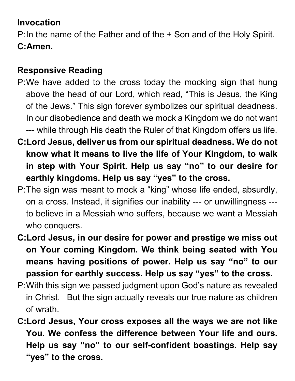## **Invocation**

P:In the name of the Father and of the + Son and of the Holy Spirit. **C:Amen.**

## **Responsive Reading**

- P:We have added to the cross today the mocking sign that hung above the head of our Lord, which read, "This is Jesus, the King of the Jews." This sign forever symbolizes our spiritual deadness. In our disobedience and death we mock a Kingdom we do not want --- while through His death the Ruler of that Kingdom offers us life.
- **C:Lord Jesus, deliver us from our spiritual deadness. We do not know what it means to live the life of Your Kingdom, to walk in step with Your Spirit. Help us say "no" to our desire for earthly kingdoms. Help us say "yes" to the cross.**
- P:The sign was meant to mock a "king" whose life ended, absurdly, on a cross. Instead, it signifies our inability --- or unwillingness -- to believe in a Messiah who suffers, because we want a Messiah who conquers.
- **C:Lord Jesus, in our desire for power and prestige we miss out on Your coming Kingdom. We think being seated with You means having positions of power. Help us say "no" to our passion for earthly success. Help us say "yes" to the cross.**
- P:With this sign we passed judgment upon God's nature as revealed in Christ. But the sign actually reveals our true nature as children of wrath.
- **C:Lord Jesus, Your cross exposes all the ways we are not like You. We confess the difference between Your life and ours. Help us say "no" to our self-confident boastings. Help say "yes" to the cross.**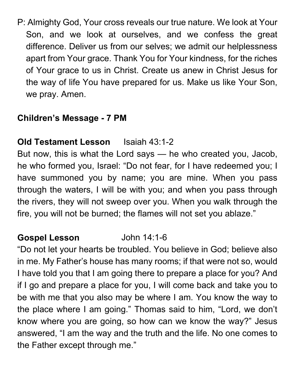P: Almighty God, Your cross reveals our true nature. We look at Your Son, and we look at ourselves, and we confess the great difference. Deliver us from our selves; we admit our helplessness apart from Your grace. Thank You for Your kindness, for the riches of Your grace to us in Christ. Create us anew in Christ Jesus for the way of life You have prepared for us. Make us like Your Son, we pray. Amen.

### **Children's Message - 7 PM**

### **Old Testament Lesson** Isaiah 43:1-2

But now, this is what the Lord says — he who created you, Jacob, he who formed you, Israel: "Do not fear, for I have redeemed you; I have summoned you by name; you are mine. When you pass through the waters, I will be with you; and when you pass through the rivers, they will not sweep over you. When you walk through the fire, you will not be burned; the flames will not set you ablaze."

### **Gospel Lesson** John 14:1-6

"Do not let your hearts be troubled. You believe in God; believe also in me. My Father's house has many rooms; if that were not so, would I have told you that I am going there to prepare a place for you? And if I go and prepare a place for you, I will come back and take you to be with me that you also may be where I am. You know the way to the place where I am going." Thomas said to him, "Lord, we don't know where you are going, so how can we know the way?" Jesus answered, "I am the way and the truth and the life. No one comes to the Father except through me."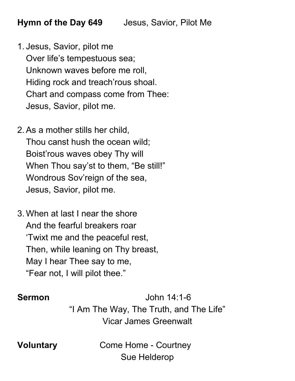- 1. Jesus, Savior, pilot me Over life's tempestuous sea; Unknown waves before me roll, Hiding rock and treach'rous shoal. Chart and compass come from Thee: Jesus, Savior, pilot me.
- 2. As a mother stills her child, Thou canst hush the ocean wild; Boist'rous waves obey Thy will When Thou say'st to them, "Be still!" Wondrous Sov'reign of the sea, Jesus, Savior, pilot me.
- 3. When at last I near the shore And the fearful breakers roar 'Twixt me and the peaceful rest, Then, while leaning on Thy breast, May I hear Thee say to me, "Fear not, I will pilot thee."

**Sermon** John 14:1-6 "I Am The Way, The Truth, and The Life" Vicar James Greenwalt

**Voluntary Come Home - Courtney** Sue Helderop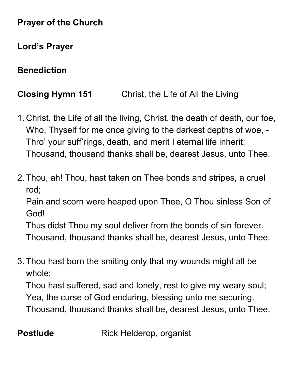### **Prayer of the Church**

## **Lord's Prayer**

## **Benediction**

# **Closing Hymn 151** Christ, the Life of All the Living

- 1. Christ, the Life of all the living, Christ, the death of death, our foe, Who, Thyself for me once giving to the darkest depths of woe, - Thro' your suff'rings, death, and merit I eternal life inherit: Thousand, thousand thanks shall be, dearest Jesus, unto Thee.
- 2. Thou, ah! Thou, hast taken on Thee bonds and stripes, a cruel rod;

Pain and scorn were heaped upon Thee, O Thou sinless Son of God!

Thus didst Thou my soul deliver from the bonds of sin forever. Thousand, thousand thanks shall be, dearest Jesus, unto Thee.

3. Thou hast born the smiting only that my wounds might all be whole;

Thou hast suffered, sad and lonely, rest to give my weary soul; Yea, the curse of God enduring, blessing unto me securing. Thousand, thousand thanks shall be, dearest Jesus, unto Thee.

**Postlude** Rick Helderop, organist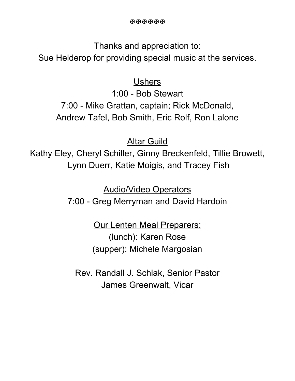Thanks and appreciation to:

Sue Helderop for providing special music at the services.

### **Ushers**

1:00 - Bob Stewart 7:00 - Mike Grattan, captain; Rick McDonald, Andrew Tafel, Bob Smith, Eric Rolf, Ron Lalone

Altar Guild

Kathy Eley, Cheryl Schiller, Ginny Breckenfeld, Tillie Browett, Lynn Duerr, Katie Moigis, and Tracey Fish

Audio/Video Operators

7:00 - Greg Merryman and David Hardoin

Our Lenten Meal Preparers: (lunch): Karen Rose (supper): Michele Margosian

Rev. Randall J. Schlak, Senior Pastor James Greenwalt, Vicar